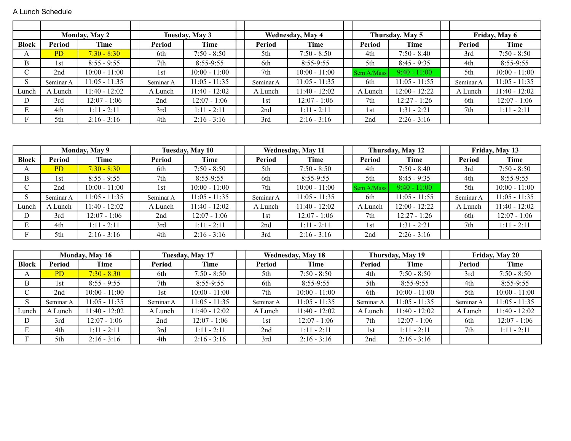A Lunch Schedule

|              |                | <b>Monday, May 2</b> |           | Tuesday, May 3  |           | <b>Wednesday, May 4</b> |                 | Thursday, May 5 |           | Friday, May 6   |
|--------------|----------------|----------------------|-----------|-----------------|-----------|-------------------------|-----------------|-----------------|-----------|-----------------|
| <b>Block</b> | Period         | Time                 | Period    | Time            | Period    | Time                    | Period          | Time            | Period    | Time            |
| A            | P <sub>D</sub> | $7:30 - 8:30$        | 6th       | $7:50 - 8:50$   | 5th       | $7:50 - 8:50$           | 4th             | $7:50 - 8:40$   | 3rd       | $7:50 - 8:50$   |
| B            | 1st            | $8:55 - 9:55$        | 7th       | 8:55-9:55       | 6th       | $8:55-9:55$             | 5th             | $8:45 - 9:35$   | 4th       | $8:55-9:55$     |
| ◡            | 2nd            | $10:00 - 11:00$      | 1st       | $10:00 - 11:00$ | 7th       | $10:00 - 11:00$         | Sem A/Mass      | $9:40 - 11:00$  | 5th       | $10:00 - 11:00$ |
| S            | Seminar A      | $1:05 - 11:35$       | Seminar A | $11:05 - 11:35$ | Seminar A | $11:05 - 11:35$         | 6th             | $11:05 - 11:55$ | Seminar A | $11:05 - 11:35$ |
| Lunch        | A Lunch        | $11:40 - 12:02$      | A Lunch   | $11:40 - 12:02$ | A Lunch   | $11:40 - 12:02$         | A Lunch         | $12:00 - 12:22$ | A Lunch   | $11:40 - 12:02$ |
| D            | 3rd            | 12:07 - 1:06         | 2nd       | $12:07 - 1:06$  | 1st       | $12:07 - 1:06$          | 7th             | 12:27 - 1:26    | 6th       | $12:07 - 1:06$  |
| E            | 4th            | $1:11 - 2:11$        | 3rd       | $1:11 - 2:11$   | 2nd       | $1:11 - 2:11$           | 1st             | $1:31 - 2:21$   | 7th       | $1:11 - 2:11$   |
| F            | 5th            | $2:16 - 3:16$        | 4th       | $2:16 - 3:16$   | 3rd       | $2:16 - 3:16$           | 2 <sub>nd</sub> | $2:26 - 3:16$   |           |                 |

|              |           | <b>Monday, May 9</b> |           | Tuesday, May 10 |           | <b>Wednesday, May 11</b> |            | Thursday, May 12 |           | Friday, May 13  |
|--------------|-----------|----------------------|-----------|-----------------|-----------|--------------------------|------------|------------------|-----------|-----------------|
| <b>Block</b> | Period    | Time                 | Period    | Time            | Period    | Time                     | Period     | Time             | Period    | Time            |
| A            | PD        | $7:30 - 8:30$        | 6th       | $7:50 - 8:50$   | 5th       | $7:50 - 8:50$            | 4th        | $7:50 - 8:40$    | 3rd       | $7:50 - 8:50$   |
| B            | 1st       | $8:55 - 9:55$        | 7th       | $8:55-9:55$     | 6th       | $8:55-9:55$              | 5th        | $8:45 - 9:35$    | 4th       | $8:55-9:55$     |
| ◡            | 2nd       | $10:00 - 11:00$      | 1st       | $10:00 - 11:00$ | 7th       | $10:00 - 11:00$          | Sem A/Mass | $9:40 - 11:00$   | 5th       | $10:00 - 11:00$ |
|              | Seminar A | $11:05 - 11:35$      | Seminar A | $11:05 - 11:35$ | Seminar A | $11:05 - 11:35$          | 6th        | $11:05 - 11:55$  | Seminar A | $11:05 - 11:35$ |
| ⊥unch        | A Lunch   | $1:40 - 12:02$       | A Lunch   | $11:40 - 12:02$ | A Lunch   | $11:40 - 12:02$          | A Lunch    | $12:00 - 12:22$  | A Lunch   | $11:40 - 12:02$ |
| D            | 3rd       | $12:07 - 1:06$       | 2nd       | 12:07 - 1:06    | 1st       | $12:07 - 1:06$           | 7th        | $12:27 - 1:26$   | 6th       | $12:07 - 1:06$  |
|              | 4th       | $1:11 - 2:11$        | 3rd       | $1:11 - 2:11$   | 2nd       | $1:11 - 2:11$            | 1st        | $1:31 - 2:21$    | 7th       | $1:11 - 2:11$   |
|              | 5th       | $2:16 - 3:16$        | 4th       | $2:16 - 3:16$   | 3rd       | $2:16 - 3:16$            | 2nd        | $2:26 - 3:16$    |           |                 |

|              |           | <b>Monday, May 16</b> |           | Tuesday, May 17 |           | <b>Wednesday, May 18</b> |           | Thursday, May 19 |           | Friday, May 20  |
|--------------|-----------|-----------------------|-----------|-----------------|-----------|--------------------------|-----------|------------------|-----------|-----------------|
| <b>Block</b> | Period    | Time                  | Period    | Time            | Period    | Time                     | Period    | Time             | Period    | Time            |
| A            | <b>PD</b> | $7:30 - 8:30$         | 6th       | $7:50 - 8:50$   | 5th       | $7:50 - 8:50$            | 4th       | $7:50 - 8:50$    | 3rd       | $7:50 - 8:50$   |
| B            | 1st       | $8:55 - 9:55$         | 7th       | 8:55-9:55       | 6th       | $8:55-9:55$              | 5th       | $8:55-9:55$      | 4th       | $8:55-9:55$     |
| ◡            | 2nd       | $10:00 - 11:00$       | 1st       | $10:00 - 11:00$ | 7th       | $10:00 - 11:00$          | 6th       | $10:00 - 11:00$  | 5th       | $10:00 - 11:00$ |
|              | Seminar A | $11:05 - 11:35$       | Seminar A | $1:05 - 11:35$  | Seminar A | $11:05 - 11:35$          | Seminar A | $11:05 - 11:35$  | Seminar A | $11:05 - 11:35$ |
| Lunch        | A Lunch   | $1:40 - 12:02$        | A Lunch   | $11:40 - 12:02$ | A Lunch   | $11:40 - 12:02$          | A Lunch   | $11:40 - 12:02$  | A Lunch   | $11:40 - 12:02$ |
| D            | 3rd       | 12:07 - 1:06          | 2nd       | 12:07 - 1:06    | 1st       | 12:07 - 1:06             | 7th       | 12:07 - 1:06     | 6th       | $12:07 - 1:06$  |
| Е            | 4th       | $1:11 - 2:11$         | 3rd       | $1:11 - 2:11$   | 2nd       | $1:11 - 2:11$            | 1st       | $1:11 - 2:11$    | 7th       | $1:11 - 2:11$   |
| F.           | 5th       | $2:16 - 3:16$         | 4th       | $2:16 - 3:16$   | 3rd       | $2:16 - 3:16$            | 2nd       | $2:16 - 3:16$    |           |                 |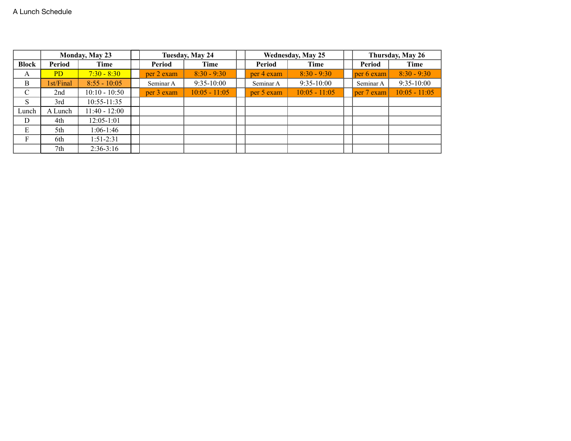|               |                | <b>Monday, May 23</b> |            | Tuesday, May 24 |            | <b>Wednesday, May 25</b> |            | Thursday, May 26 |
|---------------|----------------|-----------------------|------------|-----------------|------------|--------------------------|------------|------------------|
| <b>Block</b>  | Period         | Time                  | Period     | Time            | Period     | Time                     | Period     | Time             |
| A             | P <sub>D</sub> | $7:30 - 8:30$         | per 2 exam | $8:30 - 9:30$   | per 4 exam | $8:30 - 9:30$            | per 6 exam | $8:30 - 9:30$    |
| B             | st/Final       | $8:55 - 10:05$        | Seminar A  | $9:35-10:00$    | Seminar A  | $9:35-10:00$             | Seminar A  | $9:35-10:00$     |
| $\mathcal{C}$ | 2nd            | $10:10 - 10:50$       | per 3 exam | $10:05 - 11:05$ | per 5 exam | $10:05 - 11:05$          | per 7 exam | $10:05 - 11:05$  |
| S             | 3rd            | $10:55 - 11:35$       |            |                 |            |                          |            |                  |
| Lunch         | A Lunch        | $1:40 - 12:00$        |            |                 |            |                          |            |                  |
| D             | 4th            | $12:05 - 1:01$        |            |                 |            |                          |            |                  |
| E             | 5th            | $1:06-1:46$           |            |                 |            |                          |            |                  |
| F             | 6th            | $1:51-2:31$           |            |                 |            |                          |            |                  |
|               | 7th            | $2:36-3:16$           |            |                 |            |                          |            |                  |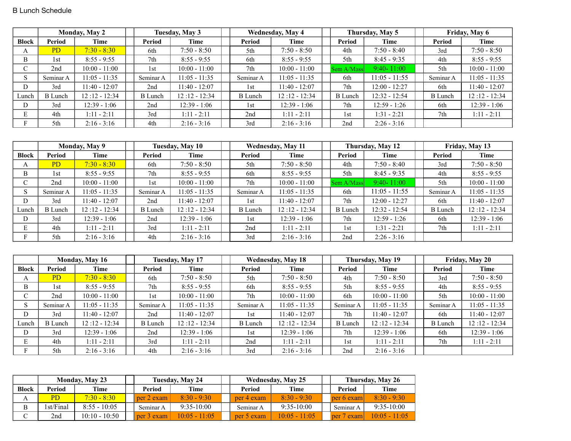|              |                | <b>Monday, May 2</b> |                | Tuesday, May 3  |                | <b>Wednesday, May 4</b> |                | Thursday, May 5 |                | Friday, May 6   |
|--------------|----------------|----------------------|----------------|-----------------|----------------|-------------------------|----------------|-----------------|----------------|-----------------|
| <b>Block</b> | Period         | Time                 | Period         | Time            | Period         | Time                    | Period         | Time            | Period         | Time            |
| А            | PD             | $7:30 - 8:30$        | 6th            | $7:50 - 8:50$   | 5th            | $7:50 - 8:50$           | 4th            | $7:50 - 8:40$   | 3rd            | $7:50 - 8:50$   |
| B            | 1st            | $8:55 - 9:55$        | 7th            | $8:55 - 9:55$   | 6th            | $8:55 - 9:55$           | 5th            | $8:45 - 9:35$   | 4th            | $8:55 - 9:55$   |
| $\sim$       | 2nd            | $10:00 - 11:00$      | 1st            | $10:00 - 11:00$ | 7th            | $10:00 - 11:00$         | Sem A/Mass     | $9:40 - 11:00$  | 5th            | $10:00 - 11:00$ |
| S            | Seminar A      | $1:05 - 11:35$       | Seminar A      | $11:05 - 11:35$ | Seminar A      | $11:05 - 11:35$         | 6th            | $11:05 - 11:55$ | Seminar A      | $11:05 - 11:35$ |
| D            | 3rd            | $11:40 - 12:07$      | 2nd            | $11:40 - 12:07$ | 1st            | $11:40 - 12:07$         | 7th            | $12:00 - 12:27$ | 6th            | $11:40 - 12:07$ |
| Lunch        | <b>B</b> Lunch | $12:12 - 12:34$      | <b>B</b> Lunch | $12:12 - 12:34$ | <b>B</b> Lunch | $12:12 - 12:34$         | <b>B</b> Lunch | 12:32 - 12:54   | <b>B</b> Lunch | $12:12 - 12:34$ |
| D            | 3rd            | 12:39 - 1:06         | 2nd            | $12:39 - 1:06$  | 1st            | $12:39 - 1:06$          | 7th            | $12:59 - 1:26$  | 6th            | 12:39 - 1:06    |
| Е            | 4th            | $1:11 - 2:11$        | 3rd            | $1:11 - 2:11$   | 2nd            | $1:11 - 2:11$           | 1st            | $1:31 - 2:21$   | 7th            | $1:11 - 2:11$   |
|              | 5th            | $2:16 - 3:16$        | 4th            | $2:16 - 3:16$   | 3rd            | $2:16 - 3:16$           | 2nd            | $2:26 - 3:16$   |                |                 |

|               |                | Monday, May 9   |                | Tuesday, May 10 |                 | <b>Wednesday, May 11</b> |                | Thursday, May 12 |                | Friday, May 13  |
|---------------|----------------|-----------------|----------------|-----------------|-----------------|--------------------------|----------------|------------------|----------------|-----------------|
| <b>Block</b>  | Period         | Time            | Period         | Time            | Period          | Time                     | Period         | Time             | Period         | Time            |
| A             | <b>PD</b>      | $7:30 - 8:30$   | 6th            | $7:50 - 8:50$   | 5th             | $7:50 - 8:50$            | 4th            | $7:50 - 8:40$    | 3rd            | $7:50 - 8:50$   |
| B             | 1st            | $8:55 - 9:55$   | 7th            | $8:55 - 9:55$   | 6th             | $8:55 - 9:55$            | 5th            | $8:45 - 9:35$    | 4th            | $8:55 - 9:55$   |
| ◡             | 2nd            | $10:00 - 11:00$ | 1st            | $10:00 - 11:00$ | 7 <sub>th</sub> | $10:00 - 11:00$          | Sem A/Mass     | $9:40 - 11:00$   | 5th            | $10:00 - 11:00$ |
| $\mathcal{L}$ | Seminar A      | $11:05 - 11:35$ | Seminar A      | $11:05 - 11:35$ | Seminar A       | $11:05 - 11:35$          | 6th            | $11:05 - 11:55$  | Seminar A      | 11:05 - 11:35   |
| D             | 3rd            | 11:40 - 12:07   | 2nd            | 11:40 - 12:07   | 1st             | $11:40 - 12:07$          | 7th            | $12:00 - 12:27$  | 6th            | $11:40 - 12:07$ |
| Lunch         | <b>B</b> Lunch | $12:12 - 12:34$ | <b>B</b> Lunch | $12:12 - 12:34$ | B Lunch         | $12:12 - 12:34$          | <b>B</b> Lunch | $12:32 - 12:54$  | <b>B</b> Lunch | $12:12 - 12:34$ |
| D             | 3rd            | 12:39 - 1:06    | 2nd            | $12:39 - 1:06$  | 1st             | $12:39 - 1:06$           | 7th            | 12:59 - 1:26     | 6th            | $12:39 - 1:06$  |
| E             | 4th            | $1:11 - 2:11$   | 3rd            | $1:11 - 2:11$   | 2nd             | $1:11 - 2:11$            | 1st            | $1:31 - 2:21$    | 7th            | $1:11 - 2:11$   |
|               | 5th            | $2:16 - 3:16$   | 4th            | $2:16 - 3:16$   | 3rd             | $2:16 - 3:16$            | 2nd            | $2:26 - 3:16$    |                |                 |

|                   |                | <b>Monday, May 16</b> |                | Tuesday, May 17 |                | <b>Wednesday, May 18</b> |                | Thursday, May 19 |                | Friday, May 20  |
|-------------------|----------------|-----------------------|----------------|-----------------|----------------|--------------------------|----------------|------------------|----------------|-----------------|
| <b>Block</b>      | Period         | Time                  | Period         | Time            | Period         | Time                     | Period         | Time             | Period         | Time            |
| A                 | <b>PD</b>      | $7:30 - 8:30$         | 6th            | $7:50 - 8:50$   | 5th            | $7:50 - 8:50$            | 4th            | $7:50 - 8:50$    | 3rd            | $7:50 - 8:50$   |
| B                 | 1st            | $8:55 - 9:55$         | 7th            | $8:55 - 9:55$   | 6th            | $8:55 - 9:55$            | 5th            | $8:55 - 9:55$    | 4th            | $8:55 - 9:55$   |
| $\cap$<br>◡       | 2nd            | $10:00 - 11:00$       | 1st            | $10:00 - 11:00$ | 7th            | $10:00 - 11:00$          | 6th            | $10:00 - 11:00$  | 5th            | $10:00 - 11:00$ |
| $\mathbf C$<br>ъ. | Seminar A      | $11:05 - 11:35$       | Seminar A      | $11:05 - 11:35$ | Seminar A      | $11:05 - 11:35$          | Seminar A      | $11:05 - 11:35$  | Seminar A      | 11:05 - 11:35   |
| D                 | 3rd            | 11:40 - 12:07         | 2nd            | $11:40 - 12:07$ | 1st            | $11:40 - 12:07$          | 7th            | $11:40 - 12:07$  | 6th            | $11:40 - 12:07$ |
| Lunch             | <b>B</b> Lunch | $12:12 - 12:34$       | <b>B</b> Lunch | $12:12 - 12:34$ | <b>B</b> Lunch | $12:12 - 12:34$          | <b>B</b> Lunch | $12:12 - 12:34$  | <b>B</b> Lunch | $12:12 - 12:34$ |
| D                 | 3rd            | $12:39 - 1:06$        | 2nd            | $12:39 - 1:06$  | 1st            | $12:39 - 1:06$           | 7th            | $12:39 - 1:06$   | 6th            | $12:39 - 1:06$  |
| E                 | 4th            | $1:11 - 2:11$         | 3rd            | $1:11 - 2:11$   | 2nd            | $1:11 - 2:11$            | 1st            | $1:11 - 2:11$    | 7th            | $1:11 - 2:11$   |
|                   | 5th            | $2:16 - 3:16$         | 4th            | $2:16 - 3:16$   | 3rd            | $2:16 - 3:16$            | 2nd            | $2:16 - 3:16$    |                |                 |

|       |           | <b>Monday, May 23</b> |            | Tuesday, May 24 |            | <b>Wednesday, May 25</b> |            | Thursday, May 26 |
|-------|-----------|-----------------------|------------|-----------------|------------|--------------------------|------------|------------------|
| Block | Period    | Time                  | Period     | Time            | Period     | Time                     | Period     | Time             |
|       | PD.       | $7:30 - 8:30$         | per 2 exam | $8:30 - 9:30$   | per 4 exam | $8.30 - 9.30$            | per 6 exam | $8:30 - 9:30$    |
|       | 1st/Final | $8:55 - 10:05$        | Seminar A  | $9:35-10:00$    | Seminar A  | $9:35-10:00$             | Seminar A  | $9:35-10:00$     |
|       | 2nd       | $10:10 - 10:50$       | per 3 exam | $10:05 - 11:05$ | per 5 exam | $10:05 - 11:05$          | per 7 exam | $10:05 - 11:05$  |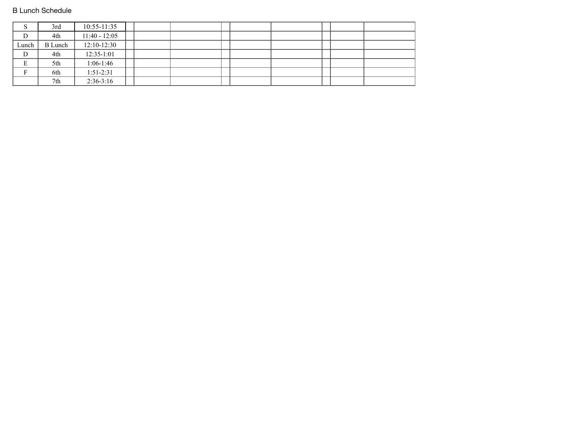## B Lunch Schedule

| $\mathcal{D}$ | 3rd            | $10:55 - 11:35$ |  |  |  |  |  |
|---------------|----------------|-----------------|--|--|--|--|--|
| D             | 4th            | $11:40 - 12:05$ |  |  |  |  |  |
| Lunch         | <b>B</b> Lunch | $12:10-12:30$   |  |  |  |  |  |
| $\mathbf D$   | 4th            | $12:35-1:01$    |  |  |  |  |  |
| E             | 5th            | $1:06-1:46$     |  |  |  |  |  |
|               | 6th            | $1:51-2:31$     |  |  |  |  |  |
|               | 7th            | $2:36-3:16$     |  |  |  |  |  |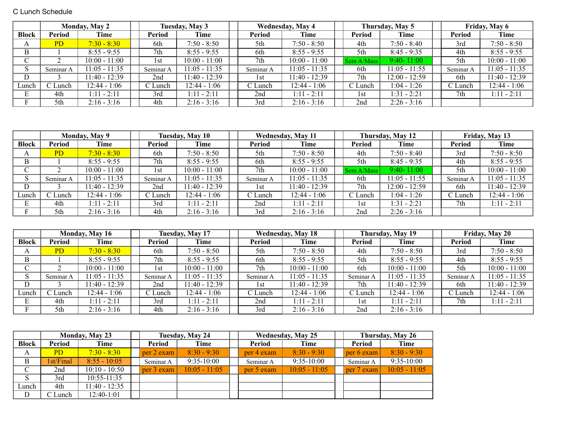C Lunch Schedule

|              |           | <b>Monday, May 2</b> |           | Tuesday, May 3  |           | Wednesday, May 4 |            | Thursday, May 5         |           | Friday, May 6   |
|--------------|-----------|----------------------|-----------|-----------------|-----------|------------------|------------|-------------------------|-----------|-----------------|
| <b>Block</b> | Period    | <b>Time</b>          | Period    | Time            | Period    | Time             | Period     | Time                    | Period    | <b>Time</b>     |
| A            | <b>PD</b> | $7:30 - 8:30$        | 6th       | $7:50 - 8:50$   | 5th       | $7:50 - 8:50$    | 4th        | $7:50 - 8:40$           | 3rd       | $7:50 - 8:50$   |
| В            |           | $8:55 - 9:55$        | 7th       | $8:55 - 9:55$   | 6th       | $8:55 - 9:55$    | 5th        | $8:45 - 9:35$           | 4th       | $8:55 - 9:55$   |
|              |           | $10:00 - 11:00$      | l st      | $10:00 - 11:00$ | 7th       | $10:00 - 11:00$  | Sem A/Mass | $9:40 - 11:00$          | 5th       | $10:00 - 11:00$ |
|              | Seminar A | $11:05 - 11:35$      | Seminar A | $11:05 - 11:35$ | Seminar A | $11:05 - 11:35$  | 6th        | $11:05 - 11:55$         | Seminar A | $11:05 - 11:35$ |
| D.           |           | 11:40 - 12:39        | 2nd       | $11:40 - 12:39$ | l st      | 11:40 - 12:39    | 7th        | $12:00 - 12:59$         | 6th       | $11:40 - 12:39$ |
| Lunch        | C Lunch   | 12:44 - 1:06         | C Lunch   | $12:44 - 1:06$  | C Lunch   | 12:44 - 1:06     | C Lunch    | $1:04 - 1:26$           | C Lunch   | $12:44 - 1:06$  |
| Е            | 4th       | $1:11 - 2:11$        | 3rd       | $1:11 - 2:11$   | 2nd       | $1:11 - 2:11$    | 1st        | $\frac{1:31 - 2:21}{ }$ | 7th       | $1:11 - 2:11$   |
|              | 5th       | $2:16 - 3:16$        | 4th       | $2:16 - 3:16$   | 3rd       | $2:16 - 3:16$    | 2nd        | $2:26 - 3:16$           |           |                 |

|              |           | Monday, May 9   |           | Tuesday, May 10 |           | <b>Wednesday, May 11</b> |            | Thursday, May 12 |           | Friday, May 13  |
|--------------|-----------|-----------------|-----------|-----------------|-----------|--------------------------|------------|------------------|-----------|-----------------|
| <b>Block</b> | Period    | Time            | Period    | Time            | Period    | Time                     | Period     | Time             | Period    | Time            |
| A            | <b>PD</b> | $7:30 - 8:30$   | 6th       | $7:50 - 8:50$   | 5th       | $7:50 - 8:50$            | 4th        | $7:50 - 8:40$    | 3rd       | $7:50 - 8:50$   |
| B            |           | $8:55 - 9:55$   | 7th       | $8:55 - 9:55$   | 6th       | $8:55 - 9:55$            | 5th        | $8:45 - 9:35$    | 4th       | $8:55 - 9:55$   |
|              |           | $10:00 - 11:00$ | 1st       | $10:00 - 11:00$ | 7th       | $10:00 - 11:00$          | Sem A/Mass | $9:40 - 11:00$   | 5th       | $10:00 - 11:00$ |
|              | Seminar A | $11:05 - 11:35$ | Seminar A | $11:05 - 11:35$ | Seminar A | $11:05 - 11:35$          | 6th        | $11:05 - 11:55$  | Seminar A | $11:05 - 11:35$ |
| D.           |           | 11:40 - 12:39   | 2nd       | $11:40 - 12:39$ | 1st       | 11:40 - 12:39            | 7th        | $12:00 - 12:59$  | 6th       | $11:40 - 12:39$ |
| Lunch        | C Lunch   | $12:44 - 1:06$  | C Lunch   | $12:44 - 1:06$  | C Lunch   | 12:44 - 1:06             | C Lunch    | l:04 - 1:26      | C Lunch   | $12:44 - 1:06$  |
| E            | 4th       | $1:11 - 2:11$   | 3rd       | $1:11 - 2:11$   | 2nd       | $1:11 - 2:11$            | 1st        | $1:31 - 2:21$    | 7th       | $1:11 - 2:11$   |
|              | 5th       | $2:16 - 3:16$   | 4th       | $2:16 - 3:16$   | 3rd       | $2:16 - 3:16$            | 2nd        | $2:26 - 3:16$    |           |                 |

|                    |           | <b>Monday, May 16</b> |           | Tuesday, May 17 |           | <b>Wednesday, May 18</b> |           | Thursday, May 19 |           | Friday, May 20  |
|--------------------|-----------|-----------------------|-----------|-----------------|-----------|--------------------------|-----------|------------------|-----------|-----------------|
| <b>Block</b>       | Period    | Time                  | Period    | Time            | Period    | Time                     | Period    | Time             | Period    | <b>Time</b>     |
| $\mathbf{\Lambda}$ | <b>PD</b> | $7:30 - 8:30$         | 6th       | $7:50 - 8:50$   | 5th       | $7:50 - 8:50$            | 4th       | $7:50 - 8:50$    | 3rd       | $7:50 - 8:50$   |
| В                  |           | $8:55 - 9:55$         | 7th       | $8:55 - 9:55$   | 6th       | $8:55 - 9:55$            | 5th       | $8:55 - 9:55$    | 4th       | $8:55 - 9:55$   |
| ◡                  |           | $10:00 - 11:00$       | 1st       | $10:00 - 11:00$ | 7th       | $10:00 - 11:00$          | 6th       | $10:00 - 11:00$  | 5th       | $10:00 - 11:00$ |
|                    | Seminar A | $11:05 - 11:35$       | Seminar A | $11:05 - 11:35$ | Seminar A | $11:05 - 11:35$          | Seminar A | $11:05 - 11:35$  | Seminar A | $11:05 - 11:35$ |
| D                  |           | $11:40 - 12:39$       | 2nd       | $11:40 - 12:39$ | 1st       | $11:40 - 12:39$          | 7th       | $11:40 - 12:39$  | 6th       | 11:40 - 12:39   |
| Lunch              | C Lunch   | $12:44 - 1:06$        | C Lunch   | $12:44 - 1:06$  | C Lunch   | $12:44 - 1:06$           | C Lunch   | $12:44 - 1:06$   | C Lunch   | $12:44 - 1:06$  |
| Þ.                 | 4th       | $1:11 - 2:11$         | 3rd       | $1:11 - 2:11$   | 2nd       | $1:11 - 2:11$            | l st      | $1:11 - 2:11$    | 7th       | $1:11 - 2:11$   |
|                    | 5th       | $2:16 - 3:16$         | 4th       | $2:16 - 3:16$   | 3rd       | $2:16 - 3:16$            | 2nd       | $2:16 - 3:16$    |           |                 |

|               | <b>Monday, May 23</b> |                 | Tuesday, May 24 |                 | <b>Wednesday, May 25</b> |                 |  | Thursday, May 26 |                 |  |
|---------------|-----------------------|-----------------|-----------------|-----------------|--------------------------|-----------------|--|------------------|-----------------|--|
| <b>Block</b>  | Period                | Time            | Period          | Time            | Period                   | Time            |  | Period           | Time            |  |
| A             | PD.                   | $7:30 - 8:30$   | per 2 exam      | $8:30 - 9:30$   | per 4 exam               | $8:30 - 9:30$   |  | $per 6$ exam     | $8:30 - 9:30$   |  |
| B             | 1st/Final             | $8:55 - 10:05$  | Seminar A       | $9:35-10:00$    | Seminar A                | $9:35-10:00$    |  | Seminar A        | $9:35-10:00$    |  |
| $\mathcal{C}$ | 2nd                   | $10:10 - 10:50$ | per 3 exam      | $10:05 - 11:05$ | per 5 exam               | $10:05 - 11:05$ |  | $ per 7$ exam    | $10:05 - 11:05$ |  |
| S             | 3rd                   | $10:55 - 11:35$ |                 |                 |                          |                 |  |                  |                 |  |
| Lunch         | 4th                   | $11:40 - 12:35$ |                 |                 |                          |                 |  |                  |                 |  |
| D             | C Lunch               | $12:40-1:01$    |                 |                 |                          |                 |  |                  |                 |  |